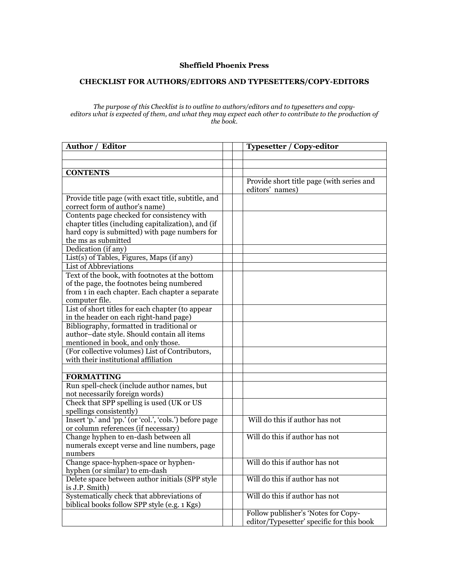## **Sheffield Phoenix Press**

## **CHECKLIST FOR AUTHORS/EDITORS AND TYPESETTERS/COPY-EDITORS**

## *The purpose of this Checklist is to outline to authors/editors and to typesetters and copy*editors what is expected of them, and what they may expect each other to contribute to the production of *the book.*

| Author / Editor                                                                      | <b>Typesetter / Copy-editor</b>           |
|--------------------------------------------------------------------------------------|-------------------------------------------|
|                                                                                      |                                           |
|                                                                                      |                                           |
| <b>CONTENTS</b>                                                                      |                                           |
|                                                                                      | Provide short title page (with series and |
|                                                                                      | editors' names)                           |
| Provide title page (with exact title, subtitle, and                                  |                                           |
| correct form of author's name)                                                       |                                           |
| Contents page checked for consistency with                                           |                                           |
| chapter titles (including capitalization), and (if                                   |                                           |
| hard copy is submitted) with page numbers for                                        |                                           |
| the ms as submitted                                                                  |                                           |
| Dedication (if any)                                                                  |                                           |
| List(s) of Tables, Figures, Maps (if any)                                            |                                           |
| List of Abbreviations                                                                |                                           |
| Text of the book, with footnotes at the bottom                                       |                                           |
| of the page, the footnotes being numbered                                            |                                           |
| from 1 in each chapter. Each chapter a separate                                      |                                           |
| computer file.                                                                       |                                           |
| List of short titles for each chapter (to appear                                     |                                           |
| in the header on each right-hand page)                                               |                                           |
| Bibliography, formatted in traditional or                                            |                                           |
| author-date style. Should contain all items                                          |                                           |
| mentioned in book, and only those.<br>(For collective volumes) List of Contributors, |                                           |
| with their institutional affiliation                                                 |                                           |
|                                                                                      |                                           |
| <b>FORMATTING</b>                                                                    |                                           |
| Run spell-check (include author names, but                                           |                                           |
| not necessarily foreign words)                                                       |                                           |
| Check that SPP spelling is used (UK or US                                            |                                           |
| spellings consistently)                                                              |                                           |
| Insert 'p.' and 'pp.' (or 'col.', 'cols.') before page                               | Will do this if author has not            |
| or column references (if necessary)                                                  |                                           |
| Change hyphen to en-dash between all                                                 | Will do this if author has not            |
| numerals except verse and line numbers, page                                         |                                           |
| numbers                                                                              |                                           |
| Change space-hyphen-space or hyphen-                                                 | Will do this if author has not            |
| hyphen (or similar) to em-dash                                                       |                                           |
| Delete space between author initials (SPP style                                      | Will do this if author has not            |
| is J.P. Smith)                                                                       |                                           |
| Systematically check that abbreviations of                                           | Will do this if author has not            |
| biblical books follow SPP style (e.g. 1 Kgs)                                         |                                           |
|                                                                                      | Follow publisher's 'Notes for Copy-       |
|                                                                                      | editor/Typesetter' specific for this book |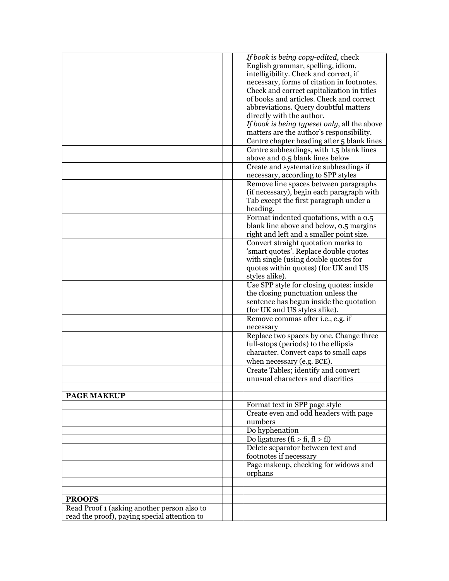| English grammar, spelling, idiom,<br>intelligibility. Check and correct, if<br>necessary, forms of citation in footnotes.<br>Check and correct capitalization in titles<br>of books and articles. Check and correct<br>abbreviations. Query doubtful matters<br>directly with the author.<br>If book is being typeset only, all the above<br>matters are the author's responsibility.<br>Centre chapter heading after 5 blank lines<br>Centre subheadings, with 1.5 blank lines<br>above and 0.5 blank lines below<br>Create and systematize subheadings if<br>necessary, according to SPP styles<br>Remove line spaces between paragraphs<br>(if necessary), begin each paragraph with<br>Tab except the first paragraph under a<br>heading.<br>Format indented quotations, with a 0.5<br>blank line above and below, 0.5 margins<br>right and left and a smaller point size.<br>Convert straight quotation marks to<br>'smart quotes'. Replace double quotes<br>with single (using double quotes for<br>quotes within quotes) (for UK and US<br>styles alike).<br>Use SPP style for closing quotes: inside<br>the closing punctuation unless the<br>sentence has begun inside the quotation<br>(for UK and US styles alike).<br>Remove commas after i.e., e.g. if<br>necessary<br>Replace two spaces by one. Change three<br>full-stops (periods) to the ellipsis<br>character. Convert caps to small caps<br>when necessary (e.g. BCE).<br>Create Tables; identify and convert<br>unusual characters and diacritics<br><b>PAGE MAKEUP</b><br>Format text in SPP page style<br>Create even and odd headers with page<br>numbers<br>Do hyphenation<br>Do ligatures (fi > fi, fl > fl)<br>Delete separator between text and<br>footnotes if necessary<br>Page makeup, checking for widows and<br>orphans<br><b>PROOFS</b><br>Read Proof 1 (asking another person also to |  | If book is being copy-edited, check |
|--------------------------------------------------------------------------------------------------------------------------------------------------------------------------------------------------------------------------------------------------------------------------------------------------------------------------------------------------------------------------------------------------------------------------------------------------------------------------------------------------------------------------------------------------------------------------------------------------------------------------------------------------------------------------------------------------------------------------------------------------------------------------------------------------------------------------------------------------------------------------------------------------------------------------------------------------------------------------------------------------------------------------------------------------------------------------------------------------------------------------------------------------------------------------------------------------------------------------------------------------------------------------------------------------------------------------------------------------------------------------------------------------------------------------------------------------------------------------------------------------------------------------------------------------------------------------------------------------------------------------------------------------------------------------------------------------------------------------------------------------------------------------------------------------------------------------------------------------------------------------|--|-------------------------------------|
|                                                                                                                                                                                                                                                                                                                                                                                                                                                                                                                                                                                                                                                                                                                                                                                                                                                                                                                                                                                                                                                                                                                                                                                                                                                                                                                                                                                                                                                                                                                                                                                                                                                                                                                                                                                                                                                                          |  |                                     |
|                                                                                                                                                                                                                                                                                                                                                                                                                                                                                                                                                                                                                                                                                                                                                                                                                                                                                                                                                                                                                                                                                                                                                                                                                                                                                                                                                                                                                                                                                                                                                                                                                                                                                                                                                                                                                                                                          |  |                                     |
|                                                                                                                                                                                                                                                                                                                                                                                                                                                                                                                                                                                                                                                                                                                                                                                                                                                                                                                                                                                                                                                                                                                                                                                                                                                                                                                                                                                                                                                                                                                                                                                                                                                                                                                                                                                                                                                                          |  |                                     |
|                                                                                                                                                                                                                                                                                                                                                                                                                                                                                                                                                                                                                                                                                                                                                                                                                                                                                                                                                                                                                                                                                                                                                                                                                                                                                                                                                                                                                                                                                                                                                                                                                                                                                                                                                                                                                                                                          |  |                                     |
|                                                                                                                                                                                                                                                                                                                                                                                                                                                                                                                                                                                                                                                                                                                                                                                                                                                                                                                                                                                                                                                                                                                                                                                                                                                                                                                                                                                                                                                                                                                                                                                                                                                                                                                                                                                                                                                                          |  |                                     |
|                                                                                                                                                                                                                                                                                                                                                                                                                                                                                                                                                                                                                                                                                                                                                                                                                                                                                                                                                                                                                                                                                                                                                                                                                                                                                                                                                                                                                                                                                                                                                                                                                                                                                                                                                                                                                                                                          |  |                                     |
|                                                                                                                                                                                                                                                                                                                                                                                                                                                                                                                                                                                                                                                                                                                                                                                                                                                                                                                                                                                                                                                                                                                                                                                                                                                                                                                                                                                                                                                                                                                                                                                                                                                                                                                                                                                                                                                                          |  |                                     |
|                                                                                                                                                                                                                                                                                                                                                                                                                                                                                                                                                                                                                                                                                                                                                                                                                                                                                                                                                                                                                                                                                                                                                                                                                                                                                                                                                                                                                                                                                                                                                                                                                                                                                                                                                                                                                                                                          |  |                                     |
|                                                                                                                                                                                                                                                                                                                                                                                                                                                                                                                                                                                                                                                                                                                                                                                                                                                                                                                                                                                                                                                                                                                                                                                                                                                                                                                                                                                                                                                                                                                                                                                                                                                                                                                                                                                                                                                                          |  |                                     |
|                                                                                                                                                                                                                                                                                                                                                                                                                                                                                                                                                                                                                                                                                                                                                                                                                                                                                                                                                                                                                                                                                                                                                                                                                                                                                                                                                                                                                                                                                                                                                                                                                                                                                                                                                                                                                                                                          |  |                                     |
|                                                                                                                                                                                                                                                                                                                                                                                                                                                                                                                                                                                                                                                                                                                                                                                                                                                                                                                                                                                                                                                                                                                                                                                                                                                                                                                                                                                                                                                                                                                                                                                                                                                                                                                                                                                                                                                                          |  |                                     |
|                                                                                                                                                                                                                                                                                                                                                                                                                                                                                                                                                                                                                                                                                                                                                                                                                                                                                                                                                                                                                                                                                                                                                                                                                                                                                                                                                                                                                                                                                                                                                                                                                                                                                                                                                                                                                                                                          |  |                                     |
|                                                                                                                                                                                                                                                                                                                                                                                                                                                                                                                                                                                                                                                                                                                                                                                                                                                                                                                                                                                                                                                                                                                                                                                                                                                                                                                                                                                                                                                                                                                                                                                                                                                                                                                                                                                                                                                                          |  |                                     |
|                                                                                                                                                                                                                                                                                                                                                                                                                                                                                                                                                                                                                                                                                                                                                                                                                                                                                                                                                                                                                                                                                                                                                                                                                                                                                                                                                                                                                                                                                                                                                                                                                                                                                                                                                                                                                                                                          |  |                                     |
|                                                                                                                                                                                                                                                                                                                                                                                                                                                                                                                                                                                                                                                                                                                                                                                                                                                                                                                                                                                                                                                                                                                                                                                                                                                                                                                                                                                                                                                                                                                                                                                                                                                                                                                                                                                                                                                                          |  |                                     |
|                                                                                                                                                                                                                                                                                                                                                                                                                                                                                                                                                                                                                                                                                                                                                                                                                                                                                                                                                                                                                                                                                                                                                                                                                                                                                                                                                                                                                                                                                                                                                                                                                                                                                                                                                                                                                                                                          |  |                                     |
|                                                                                                                                                                                                                                                                                                                                                                                                                                                                                                                                                                                                                                                                                                                                                                                                                                                                                                                                                                                                                                                                                                                                                                                                                                                                                                                                                                                                                                                                                                                                                                                                                                                                                                                                                                                                                                                                          |  |                                     |
|                                                                                                                                                                                                                                                                                                                                                                                                                                                                                                                                                                                                                                                                                                                                                                                                                                                                                                                                                                                                                                                                                                                                                                                                                                                                                                                                                                                                                                                                                                                                                                                                                                                                                                                                                                                                                                                                          |  |                                     |
|                                                                                                                                                                                                                                                                                                                                                                                                                                                                                                                                                                                                                                                                                                                                                                                                                                                                                                                                                                                                                                                                                                                                                                                                                                                                                                                                                                                                                                                                                                                                                                                                                                                                                                                                                                                                                                                                          |  |                                     |
|                                                                                                                                                                                                                                                                                                                                                                                                                                                                                                                                                                                                                                                                                                                                                                                                                                                                                                                                                                                                                                                                                                                                                                                                                                                                                                                                                                                                                                                                                                                                                                                                                                                                                                                                                                                                                                                                          |  |                                     |
|                                                                                                                                                                                                                                                                                                                                                                                                                                                                                                                                                                                                                                                                                                                                                                                                                                                                                                                                                                                                                                                                                                                                                                                                                                                                                                                                                                                                                                                                                                                                                                                                                                                                                                                                                                                                                                                                          |  |                                     |
|                                                                                                                                                                                                                                                                                                                                                                                                                                                                                                                                                                                                                                                                                                                                                                                                                                                                                                                                                                                                                                                                                                                                                                                                                                                                                                                                                                                                                                                                                                                                                                                                                                                                                                                                                                                                                                                                          |  |                                     |
|                                                                                                                                                                                                                                                                                                                                                                                                                                                                                                                                                                                                                                                                                                                                                                                                                                                                                                                                                                                                                                                                                                                                                                                                                                                                                                                                                                                                                                                                                                                                                                                                                                                                                                                                                                                                                                                                          |  |                                     |
|                                                                                                                                                                                                                                                                                                                                                                                                                                                                                                                                                                                                                                                                                                                                                                                                                                                                                                                                                                                                                                                                                                                                                                                                                                                                                                                                                                                                                                                                                                                                                                                                                                                                                                                                                                                                                                                                          |  |                                     |
|                                                                                                                                                                                                                                                                                                                                                                                                                                                                                                                                                                                                                                                                                                                                                                                                                                                                                                                                                                                                                                                                                                                                                                                                                                                                                                                                                                                                                                                                                                                                                                                                                                                                                                                                                                                                                                                                          |  |                                     |
|                                                                                                                                                                                                                                                                                                                                                                                                                                                                                                                                                                                                                                                                                                                                                                                                                                                                                                                                                                                                                                                                                                                                                                                                                                                                                                                                                                                                                                                                                                                                                                                                                                                                                                                                                                                                                                                                          |  |                                     |
|                                                                                                                                                                                                                                                                                                                                                                                                                                                                                                                                                                                                                                                                                                                                                                                                                                                                                                                                                                                                                                                                                                                                                                                                                                                                                                                                                                                                                                                                                                                                                                                                                                                                                                                                                                                                                                                                          |  |                                     |
|                                                                                                                                                                                                                                                                                                                                                                                                                                                                                                                                                                                                                                                                                                                                                                                                                                                                                                                                                                                                                                                                                                                                                                                                                                                                                                                                                                                                                                                                                                                                                                                                                                                                                                                                                                                                                                                                          |  |                                     |
|                                                                                                                                                                                                                                                                                                                                                                                                                                                                                                                                                                                                                                                                                                                                                                                                                                                                                                                                                                                                                                                                                                                                                                                                                                                                                                                                                                                                                                                                                                                                                                                                                                                                                                                                                                                                                                                                          |  |                                     |
|                                                                                                                                                                                                                                                                                                                                                                                                                                                                                                                                                                                                                                                                                                                                                                                                                                                                                                                                                                                                                                                                                                                                                                                                                                                                                                                                                                                                                                                                                                                                                                                                                                                                                                                                                                                                                                                                          |  |                                     |
|                                                                                                                                                                                                                                                                                                                                                                                                                                                                                                                                                                                                                                                                                                                                                                                                                                                                                                                                                                                                                                                                                                                                                                                                                                                                                                                                                                                                                                                                                                                                                                                                                                                                                                                                                                                                                                                                          |  |                                     |
|                                                                                                                                                                                                                                                                                                                                                                                                                                                                                                                                                                                                                                                                                                                                                                                                                                                                                                                                                                                                                                                                                                                                                                                                                                                                                                                                                                                                                                                                                                                                                                                                                                                                                                                                                                                                                                                                          |  |                                     |
|                                                                                                                                                                                                                                                                                                                                                                                                                                                                                                                                                                                                                                                                                                                                                                                                                                                                                                                                                                                                                                                                                                                                                                                                                                                                                                                                                                                                                                                                                                                                                                                                                                                                                                                                                                                                                                                                          |  |                                     |
|                                                                                                                                                                                                                                                                                                                                                                                                                                                                                                                                                                                                                                                                                                                                                                                                                                                                                                                                                                                                                                                                                                                                                                                                                                                                                                                                                                                                                                                                                                                                                                                                                                                                                                                                                                                                                                                                          |  |                                     |
|                                                                                                                                                                                                                                                                                                                                                                                                                                                                                                                                                                                                                                                                                                                                                                                                                                                                                                                                                                                                                                                                                                                                                                                                                                                                                                                                                                                                                                                                                                                                                                                                                                                                                                                                                                                                                                                                          |  |                                     |
|                                                                                                                                                                                                                                                                                                                                                                                                                                                                                                                                                                                                                                                                                                                                                                                                                                                                                                                                                                                                                                                                                                                                                                                                                                                                                                                                                                                                                                                                                                                                                                                                                                                                                                                                                                                                                                                                          |  |                                     |
|                                                                                                                                                                                                                                                                                                                                                                                                                                                                                                                                                                                                                                                                                                                                                                                                                                                                                                                                                                                                                                                                                                                                                                                                                                                                                                                                                                                                                                                                                                                                                                                                                                                                                                                                                                                                                                                                          |  |                                     |
|                                                                                                                                                                                                                                                                                                                                                                                                                                                                                                                                                                                                                                                                                                                                                                                                                                                                                                                                                                                                                                                                                                                                                                                                                                                                                                                                                                                                                                                                                                                                                                                                                                                                                                                                                                                                                                                                          |  |                                     |
|                                                                                                                                                                                                                                                                                                                                                                                                                                                                                                                                                                                                                                                                                                                                                                                                                                                                                                                                                                                                                                                                                                                                                                                                                                                                                                                                                                                                                                                                                                                                                                                                                                                                                                                                                                                                                                                                          |  |                                     |
|                                                                                                                                                                                                                                                                                                                                                                                                                                                                                                                                                                                                                                                                                                                                                                                                                                                                                                                                                                                                                                                                                                                                                                                                                                                                                                                                                                                                                                                                                                                                                                                                                                                                                                                                                                                                                                                                          |  |                                     |
|                                                                                                                                                                                                                                                                                                                                                                                                                                                                                                                                                                                                                                                                                                                                                                                                                                                                                                                                                                                                                                                                                                                                                                                                                                                                                                                                                                                                                                                                                                                                                                                                                                                                                                                                                                                                                                                                          |  |                                     |
|                                                                                                                                                                                                                                                                                                                                                                                                                                                                                                                                                                                                                                                                                                                                                                                                                                                                                                                                                                                                                                                                                                                                                                                                                                                                                                                                                                                                                                                                                                                                                                                                                                                                                                                                                                                                                                                                          |  |                                     |
|                                                                                                                                                                                                                                                                                                                                                                                                                                                                                                                                                                                                                                                                                                                                                                                                                                                                                                                                                                                                                                                                                                                                                                                                                                                                                                                                                                                                                                                                                                                                                                                                                                                                                                                                                                                                                                                                          |  |                                     |
|                                                                                                                                                                                                                                                                                                                                                                                                                                                                                                                                                                                                                                                                                                                                                                                                                                                                                                                                                                                                                                                                                                                                                                                                                                                                                                                                                                                                                                                                                                                                                                                                                                                                                                                                                                                                                                                                          |  |                                     |
|                                                                                                                                                                                                                                                                                                                                                                                                                                                                                                                                                                                                                                                                                                                                                                                                                                                                                                                                                                                                                                                                                                                                                                                                                                                                                                                                                                                                                                                                                                                                                                                                                                                                                                                                                                                                                                                                          |  |                                     |
|                                                                                                                                                                                                                                                                                                                                                                                                                                                                                                                                                                                                                                                                                                                                                                                                                                                                                                                                                                                                                                                                                                                                                                                                                                                                                                                                                                                                                                                                                                                                                                                                                                                                                                                                                                                                                                                                          |  |                                     |
|                                                                                                                                                                                                                                                                                                                                                                                                                                                                                                                                                                                                                                                                                                                                                                                                                                                                                                                                                                                                                                                                                                                                                                                                                                                                                                                                                                                                                                                                                                                                                                                                                                                                                                                                                                                                                                                                          |  |                                     |
|                                                                                                                                                                                                                                                                                                                                                                                                                                                                                                                                                                                                                                                                                                                                                                                                                                                                                                                                                                                                                                                                                                                                                                                                                                                                                                                                                                                                                                                                                                                                                                                                                                                                                                                                                                                                                                                                          |  |                                     |
|                                                                                                                                                                                                                                                                                                                                                                                                                                                                                                                                                                                                                                                                                                                                                                                                                                                                                                                                                                                                                                                                                                                                                                                                                                                                                                                                                                                                                                                                                                                                                                                                                                                                                                                                                                                                                                                                          |  |                                     |
|                                                                                                                                                                                                                                                                                                                                                                                                                                                                                                                                                                                                                                                                                                                                                                                                                                                                                                                                                                                                                                                                                                                                                                                                                                                                                                                                                                                                                                                                                                                                                                                                                                                                                                                                                                                                                                                                          |  |                                     |
|                                                                                                                                                                                                                                                                                                                                                                                                                                                                                                                                                                                                                                                                                                                                                                                                                                                                                                                                                                                                                                                                                                                                                                                                                                                                                                                                                                                                                                                                                                                                                                                                                                                                                                                                                                                                                                                                          |  |                                     |
|                                                                                                                                                                                                                                                                                                                                                                                                                                                                                                                                                                                                                                                                                                                                                                                                                                                                                                                                                                                                                                                                                                                                                                                                                                                                                                                                                                                                                                                                                                                                                                                                                                                                                                                                                                                                                                                                          |  |                                     |
|                                                                                                                                                                                                                                                                                                                                                                                                                                                                                                                                                                                                                                                                                                                                                                                                                                                                                                                                                                                                                                                                                                                                                                                                                                                                                                                                                                                                                                                                                                                                                                                                                                                                                                                                                                                                                                                                          |  |                                     |
|                                                                                                                                                                                                                                                                                                                                                                                                                                                                                                                                                                                                                                                                                                                                                                                                                                                                                                                                                                                                                                                                                                                                                                                                                                                                                                                                                                                                                                                                                                                                                                                                                                                                                                                                                                                                                                                                          |  |                                     |
| read the proof), paying special attention to                                                                                                                                                                                                                                                                                                                                                                                                                                                                                                                                                                                                                                                                                                                                                                                                                                                                                                                                                                                                                                                                                                                                                                                                                                                                                                                                                                                                                                                                                                                                                                                                                                                                                                                                                                                                                             |  |                                     |